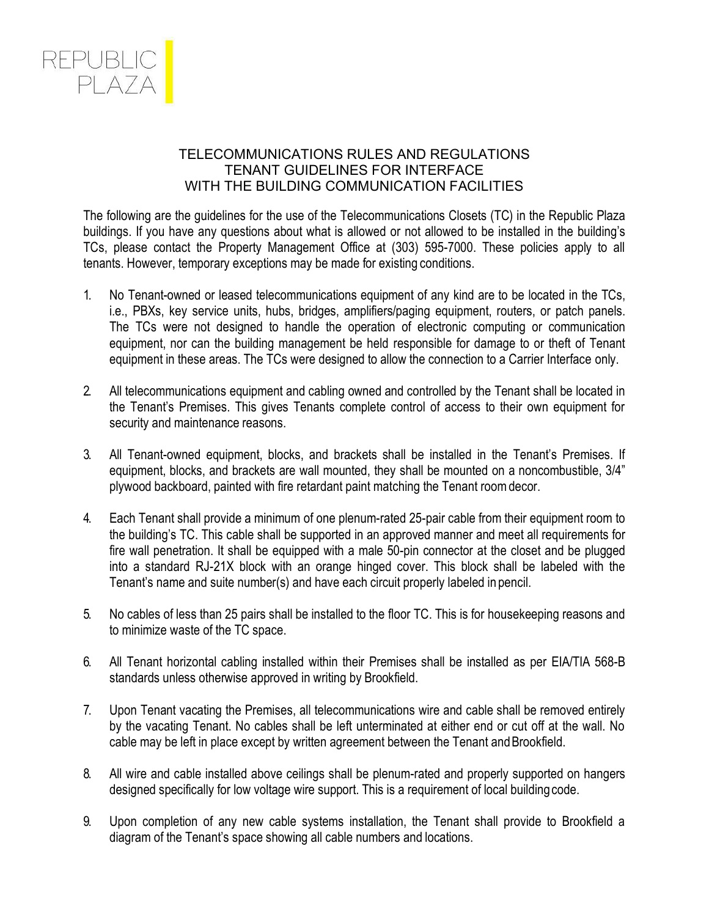

## TELECOMMUNICATIONS RULES AND REGULATIONS TENANT GUIDELINES FOR INTERFACE WITH THE BUILDING COMMUNICATION FACILITIES

The following are the guidelines for the use of the Telecommunications Closets (TC) in the Republic Plaza buildings. If you have any questions about what is allowed or not allowed to be installed in the building's TCs, please contact the Property Management Office at (303) 595-7000. These policies apply to all tenants. However, temporary exceptions may be made for existing conditions.

- 1. No Tenant-owned or leased telecommunications equipment of any kind are to be located in the TCs, i.e., PBXs, key service units, hubs, bridges, amplifiers/paging equipment, routers, or patch panels. The TCs were not designed to handle the operation of electronic computing or communication equipment, nor can the building management be held responsible for damage to or theft of Tenant equipment in these areas. The TCs were designed to allow the connection to a Carrier Interface only.
- 2. All telecommunications equipment and cabling owned and controlled by the Tenant shall be located in the Tenant's Premises. This gives Tenants complete control of access to their own equipment for security and maintenance reasons.
- 3. All Tenant-owned equipment, blocks, and brackets shall be installed in the Tenant's Premises. If equipment, blocks, and brackets are wall mounted, they shall be mounted on a noncombustible, 3/4" plywood backboard, painted with fire retardant paint matching the Tenant roomdecor.
- 4. Each Tenant shall provide a minimum of one plenum-rated 25-pair cable from their equipment room to the building's TC. This cable shall be supported in an approved manner and meet all requirements for fire wall penetration. It shall be equipped with a male 50-pin connector at the closet and be plugged into a standard RJ-21X block with an orange hinged cover. This block shall be labeled with the Tenant's name and suite number(s) and have each circuit properly labeled in pencil.
- 5. No cables of less than 25 pairs shall be installed to the floor TC. This is for housekeeping reasons and to minimize waste of the TC space.
- 6. All Tenant horizontal cabling installed within their Premises shall be installed as per EIA/TIA 568-B standards unless otherwise approved in writing by Brookfield.
- 7. Upon Tenant vacating the Premises, all telecommunications wire and cable shall be removed entirely by the vacating Tenant. No cables shall be left unterminated at either end or cut off at the wall. No cable may be left in place except by written agreement between the Tenant and Brookfield.
- 8. All wire and cable installed above ceilings shall be plenum-rated and properly supported on hangers designed specifically for low voltage wire support. This is a requirement of local buildingcode.
- 9. Upon completion of any new cable systems installation, the Tenant shall provide to Brookfield a diagram of the Tenant's space showing all cable numbers and locations.